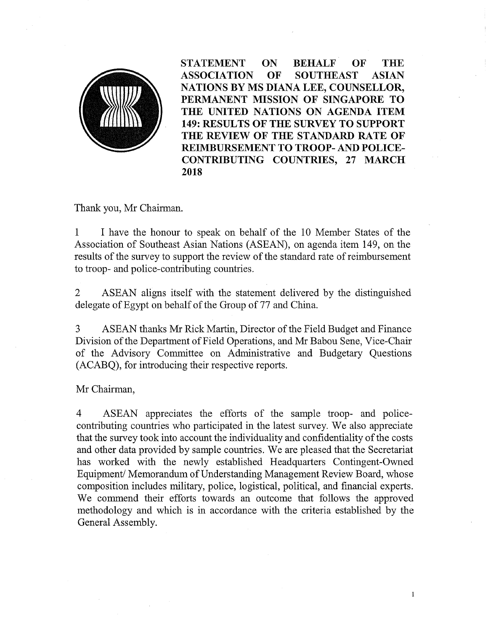

STATEMENT ON BEHALF OF THE ASSOCIATION OF SOUTHEAST ASIAN NATIONS BY MS DIANA LEE, COUNSELLOR, PERMANENT MISSION OF SINGAPORE TO THE UNITED NATIONS ON AGENDA ITEM 149: RESULTS OF THE SURVEY TO SUPPORT THE REVIEW OF THE STANDARD RATE OF REIMBURSEMENT TO TROOP- AND POLICE-CONTRIBUTING COUNTRIES, 27 MARCH 2018

Thank you, Mr Chairman.

1 I have the honour to speak on behalf of the 10 Member States of the Association of Southeast Asian Nations (ASEAN), on agenda item 149, on the results of the survey to support the review of the standard rate of reimbursement to troop- and police-contributing countries.

2 ASEAN aligns itself with the statement delivered by the distinguished delegate of Egypt on behalf of the Group of 77 and China.

3 ASEAN thanks Mr Rick Martin, Director of the Field Budget and Finance Division of the Department of Field Operations, and Mr Babou Sene, Vice-Chair of the Advisory Committee on Administrative and Budgetary Questions (ACABQ), for introducing their respective reports.

Mr Chairman,

4 ASEAN appreciates the efforts of the sample troop- and policecontributing countries who participated in the latest survey. We also appreciate that the survey took into account the individuality and confidentiality of the costs and other data provided by sample countries. We are pleased that the Secretariat has worked with the newly established Headquarters Contingent-Owned Equipment/Memorandum of Understanding Management Review Board, whose composition includes military, police, logistical, political, and financial experts. We commend their efforts towards an outcome that follows the approved methodology and which is in accordance with the criteria established by the General Assembly.

 $\,1$